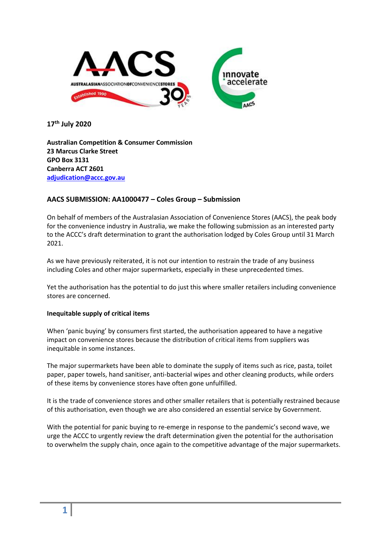

**17th July 2020**

**Australian Competition & Consumer Commission 23 Marcus Clarke Street GPO Box 3131 Canberra ACT 2601 adjudication@accc.gov.au**

## **AACS SUBMISSION: AA1000477 – Coles Group – Submission**

On behalf of members of the Australasian Association of Convenience Stores (AACS), the peak body for the convenience industry in Australia, we make the following submission as an interested party to the ACCC's draft determination to grant the authorisation lodged by Coles Group until 31 March 2021.

As we have previously reiterated, it is not our intention to restrain the trade of any business including Coles and other major supermarkets, especially in these unprecedented times.

Yet the authorisation has the potential to do just this where smaller retailers including convenience stores are concerned.

#### **Inequitable supply of critical items**

When 'panic buying' by consumers first started, the authorisation appeared to have a negative impact on convenience stores because the distribution of critical items from suppliers was inequitable in some instances.

The major supermarkets have been able to dominate the supply of items such as rice, pasta, toilet paper, paper towels, hand sanitiser, anti-bacterial wipes and other cleaning products, while orders of these items by convenience stores have often gone unfulfilled.

It is the trade of convenience stores and other smaller retailers that is potentially restrained because of this authorisation, even though we are also considered an essential service by Government.

With the potential for panic buying to re-emerge in response to the pandemic's second wave, we urge the ACCC to urgently review the draft determination given the potential for the authorisation to overwhelm the supply chain, once again to the competitive advantage of the major supermarkets.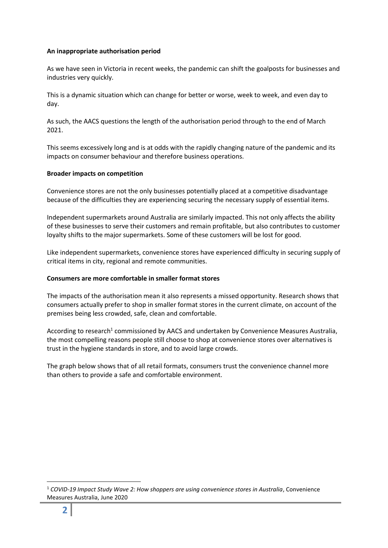## **An inappropriate authorisation period**

As we have seen in Victoria in recent weeks, the pandemic can shift the goalposts for businesses and industries very quickly.

This is a dynamic situation which can change for better or worse, week to week, and even day to day.

As such, the AACS questions the length of the authorisation period through to the end of March 2021.

This seems excessively long and is at odds with the rapidly changing nature of the pandemic and its impacts on consumer behaviour and therefore business operations.

## **Broader impacts on competition**

Convenience stores are not the only businesses potentially placed at a competitive disadvantage because of the difficulties they are experiencing securing the necessary supply of essential items.

Independent supermarkets around Australia are similarly impacted. This not only affects the ability of these businesses to serve their customers and remain profitable, but also contributes to customer loyalty shifts to the major supermarkets. Some of these customers will be lost for good.

Like independent supermarkets, convenience stores have experienced difficulty in securing supply of critical items in city, regional and remote communities.

#### **Consumers are more comfortable in smaller format stores**

The impacts of the authorisation mean it also represents a missed opportunity. Research shows that consumers actually prefer to shop in smaller format stores in the current climate, on account of the premises being less crowded, safe, clean and comfortable.

According to research<sup>1</sup> commissioned by AACS and undertaken by Convenience Measures Australia, the most compelling reasons people still choose to shop at convenience stores over alternatives is trust in the hygiene standards in store, and to avoid large crowds.

The graph below shows that of all retail formats, consumers trust the convenience channel more than others to provide a safe and comfortable environment.

1

<sup>1</sup> *COVID-19 Impact Study Wave 2: How shoppers are using convenience stores in Australia*, Convenience Measures Australia, June 2020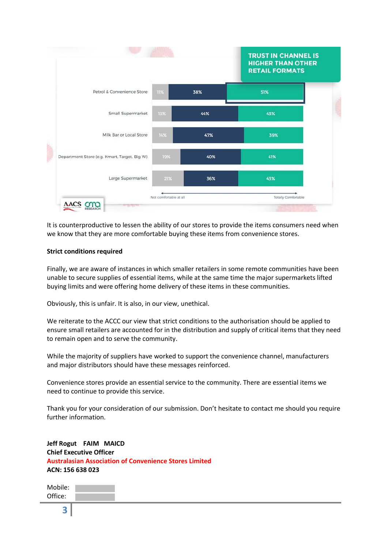

It is counterproductive to lessen the ability of our stores to provide the items consumers need when we know that they are more comfortable buying these items from convenience stores.

#### **Strict conditions required**

Finally, we are aware of instances in which smaller retailers in some remote communities have been unable to secure supplies of essential items, while at the same time the major supermarkets lifted buying limits and were offering home delivery of these items in these communities.

Obviously, this is unfair. It is also, in our view, unethical.

We reiterate to the ACCC our view that strict conditions to the authorisation should be applied to ensure small retailers are accounted for in the distribution and supply of critical items that they need to remain open and to serve the community.

While the majority of suppliers have worked to support the convenience channel, manufacturers and major distributors should have these messages reinforced.

Convenience stores provide an essential service to the community. There are essential items we need to continue to provide this service.

Thank you for your consideration of our submission. Don't hesitate to contact me should you require further information.

**Jeff Rogut FAIM MAICD Chief Executive Officer Australasian Association of Convenience Stores Limited ACN: 156 638 023**

| Mobile: |  |
|---------|--|
| Office: |  |